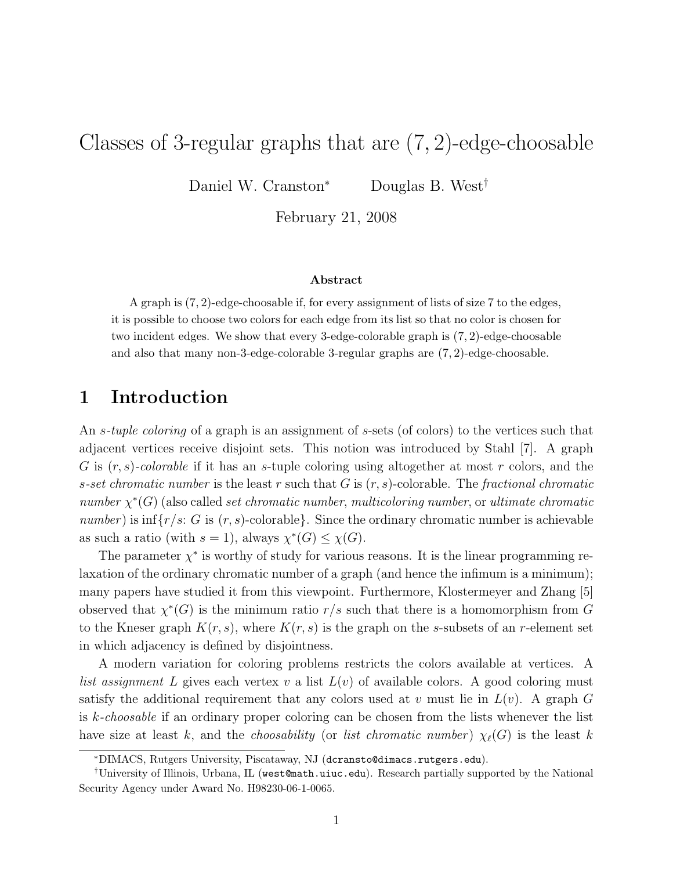# Classes of 3-regular graphs that are (7, 2)-edge-choosable

Daniel W. Cranston<sup>∗</sup> Douglas B. West†

February 21, 2008

#### Abstract

A graph is  $(7, 2)$ -edge-choosable if, for every assignment of lists of size  $7$  to the edges, it is possible to choose two colors for each edge from its list so that no color is chosen for two incident edges. We show that every 3-edge-colorable graph is (7, 2)-edge-choosable and also that many non-3-edge-colorable 3-regular graphs are (7, 2)-edge-choosable.

#### 1 Introduction

An *s-tuple coloring* of a graph is an assignment of *s*-sets (of colors) to the vertices such that adjacent vertices receive disjoint sets. This notion was introduced by Stahl [7]. A graph G is  $(r, s)$ -colorable if it has an s-tuple coloring using altogether at most r colors, and the s-set chromatic number is the least r such that G is  $(r, s)$ -colorable. The fractional chromatic number  $\chi^*(G)$  (also called set chromatic number, multicoloring number, or ultimate chromatic number) is  $inf{r/s: G \text{ is } (r, s)$ -colorable}. Since the ordinary chromatic number is achievable as such a ratio (with  $s = 1$ ), always  $\chi^*(G) \leq \chi(G)$ .

The parameter  $\chi^*$  is worthy of study for various reasons. It is the linear programming relaxation of the ordinary chromatic number of a graph (and hence the infimum is a minimum); many papers have studied it from this viewpoint. Furthermore, Klostermeyer and Zhang [5] observed that  $\chi^*(G)$  is the minimum ratio  $r/s$  such that there is a homomorphism from G to the Kneser graph  $K(r, s)$ , where  $K(r, s)$  is the graph on the s-subsets of an r-element set in which adjacency is defined by disjointness.

A modern variation for coloring problems restricts the colors available at vertices. A list assignment L gives each vertex v a list  $L(v)$  of available colors. A good coloring must satisfy the additional requirement that any colors used at v must lie in  $L(v)$ . A graph G is  $k$ -choosable if an ordinary proper coloring can be chosen from the lists whenever the list have size at least k, and the *choosability* (or list chromatic number)  $\chi_{\ell}(G)$  is the least k

<sup>∗</sup>DIMACS, Rutgers University, Piscataway, NJ (dcransto@dimacs.rutgers.edu).

<sup>†</sup>University of Illinois, Urbana, IL (west@math.uiuc.edu). Research partially supported by the National Security Agency under Award No. H98230-06-1-0065.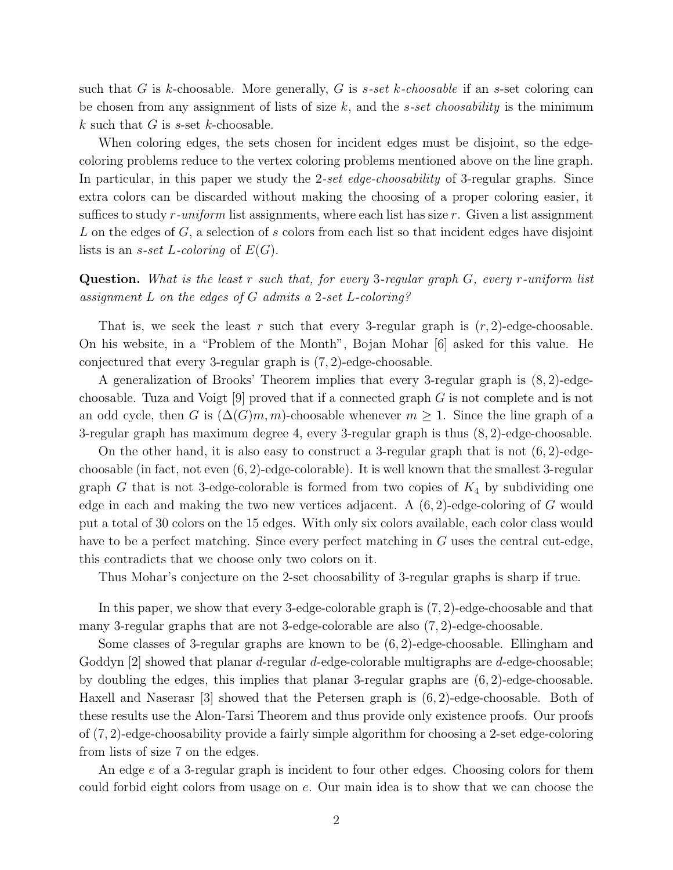such that G is k-choosable. More generally, G is s-set k-choosable if an s-set coloring can be chosen from any assignment of lists of size  $k$ , and the *s-set choosability* is the minimum k such that G is  $s$ -set k-choosable.

When coloring edges, the sets chosen for incident edges must be disjoint, so the edgecoloring problems reduce to the vertex coloring problems mentioned above on the line graph. In particular, in this paper we study the 2-set edge-choosability of 3-regular graphs. Since extra colors can be discarded without making the choosing of a proper coloring easier, it suffices to study  $r$ -uniform list assignments, where each list has size  $r$ . Given a list assignment L on the edges of  $G$ , a selection of s colors from each list so that incident edges have disjoint lists is an *s-set L-coloring* of  $E(G)$ .

#### **Question.** What is the least r such that, for every 3-regular graph  $G$ , every r-uniform list assignment L on the edges of G admits a 2-set L-coloring?

That is, we seek the least r such that every 3-regular graph is  $(r, 2)$ -edge-choosable. On his website, in a "Problem of the Month", Bojan Mohar [6] asked for this value. He conjectured that every 3-regular graph is (7, 2)-edge-choosable.

A generalization of Brooks' Theorem implies that every 3-regular graph is (8, 2)-edgechoosable. Tuza and Voigt  $[9]$  proved that if a connected graph G is not complete and is not an odd cycle, then G is  $(\Delta(G)m, m)$ -choosable whenever  $m \geq 1$ . Since the line graph of a 3-regular graph has maximum degree 4, every 3-regular graph is thus (8, 2)-edge-choosable.

On the other hand, it is also easy to construct a 3-regular graph that is not  $(6, 2)$ -edgechoosable (in fact, not even  $(6, 2)$ -edge-colorable). It is well known that the smallest 3-regular graph G that is not 3-edge-colorable is formed from two copies of  $K_4$  by subdividing one edge in each and making the two new vertices adjacent. A  $(6, 2)$ -edge-coloring of G would put a total of 30 colors on the 15 edges. With only six colors available, each color class would have to be a perfect matching. Since every perfect matching in G uses the central cut-edge, this contradicts that we choose only two colors on it.

Thus Mohar's conjecture on the 2-set choosability of 3-regular graphs is sharp if true.

In this paper, we show that every 3-edge-colorable graph is (7, 2)-edge-choosable and that many 3-regular graphs that are not 3-edge-colorable are also (7, 2)-edge-choosable.

Some classes of 3-regular graphs are known to be (6, 2)-edge-choosable. Ellingham and Goddyn  $[2]$  showed that planar *d*-regular *d*-edge-colorable multigraphs are *d*-edge-choosable; by doubling the edges, this implies that planar 3-regular graphs are (6, 2)-edge-choosable. Haxell and Naserasr [3] showed that the Petersen graph is (6, 2)-edge-choosable. Both of these results use the Alon-Tarsi Theorem and thus provide only existence proofs. Our proofs of (7, 2)-edge-choosability provide a fairly simple algorithm for choosing a 2-set edge-coloring from lists of size 7 on the edges.

An edge e of a 3-regular graph is incident to four other edges. Choosing colors for them could forbid eight colors from usage on e. Our main idea is to show that we can choose the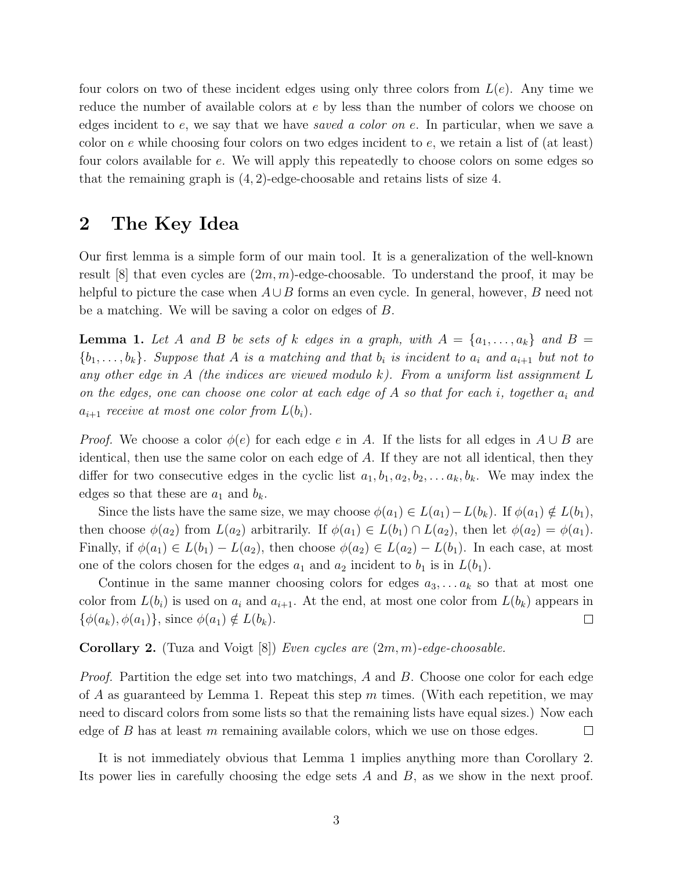four colors on two of these incident edges using only three colors from  $L(e)$ . Any time we reduce the number of available colors at e by less than the number of colors we choose on edges incident to  $e$ , we say that we have saved a color on  $e$ . In particular, when we save a color on  $e$  while choosing four colors on two edges incident to  $e$ , we retain a list of (at least) four colors available for e. We will apply this repeatedly to choose colors on some edges so that the remaining graph is (4, 2)-edge-choosable and retains lists of size 4.

### 2 The Key Idea

Our first lemma is a simple form of our main tool. It is a generalization of the well-known result [8] that even cycles are  $(2m, m)$ -edge-choosable. To understand the proof, it may be helpful to picture the case when  $A \cup B$  forms an even cycle. In general, however, B need not be a matching. We will be saving a color on edges of B.

**Lemma 1.** Let A and B be sets of k edges in a graph, with  $A = \{a_1, \ldots, a_k\}$  and  $B =$  ${b_1, \ldots, b_k}$ . Suppose that A is a matching and that  $b_i$  is incident to  $a_i$  and  $a_{i+1}$  but not to any other edge in A (the indices are viewed modulo k). From a uniform list assignment  $L$ on the edges, one can choose one color at each edge of A so that for each i, together  $a_i$  and  $a_{i+1}$  receive at most one color from  $L(b_i)$ .

*Proof.* We choose a color  $\phi(e)$  for each edge e in A. If the lists for all edges in  $A \cup B$  are identical, then use the same color on each edge of A. If they are not all identical, then they differ for two consecutive edges in the cyclic list  $a_1, b_1, a_2, b_2, \ldots, a_k, b_k$ . We may index the edges so that these are  $a_1$  and  $b_k$ .

Since the lists have the same size, we may choose  $\phi(a_1) \in L(a_1) - L(b_k)$ . If  $\phi(a_1) \notin L(b_1)$ , then choose  $\phi(a_2)$  from  $L(a_2)$  arbitrarily. If  $\phi(a_1) \in L(b_1) \cap L(a_2)$ , then let  $\phi(a_2) = \phi(a_1)$ . Finally, if  $\phi(a_1) \in L(b_1) - L(a_2)$ , then choose  $\phi(a_2) \in L(a_2) - L(b_1)$ . In each case, at most one of the colors chosen for the edges  $a_1$  and  $a_2$  incident to  $b_1$  is in  $L(b_1)$ .

Continue in the same manner choosing colors for edges  $a_3, \ldots, a_k$  so that at most one color from  $L(b_i)$  is used on  $a_i$  and  $a_{i+1}$ . At the end, at most one color from  $L(b_k)$  appears in  $\{\phi(a_k), \phi(a_1)\}\$ , since  $\phi(a_1) \notin L(b_k)$ .  $\Box$ 

**Corollary 2.** (Tuza and Voigt  $[8]$ ) Even cycles are  $(2m, m)$ -edge-choosable.

Proof. Partition the edge set into two matchings, A and B. Choose one color for each edge of A as guaranteed by Lemma 1. Repeat this step  $m$  times. (With each repetition, we may need to discard colors from some lists so that the remaining lists have equal sizes.) Now each edge of  $B$  has at least  $m$  remaining available colors, which we use on those edges.  $\Box$ 

It is not immediately obvious that Lemma 1 implies anything more than Corollary 2. Its power lies in carefully choosing the edge sets A and B, as we show in the next proof.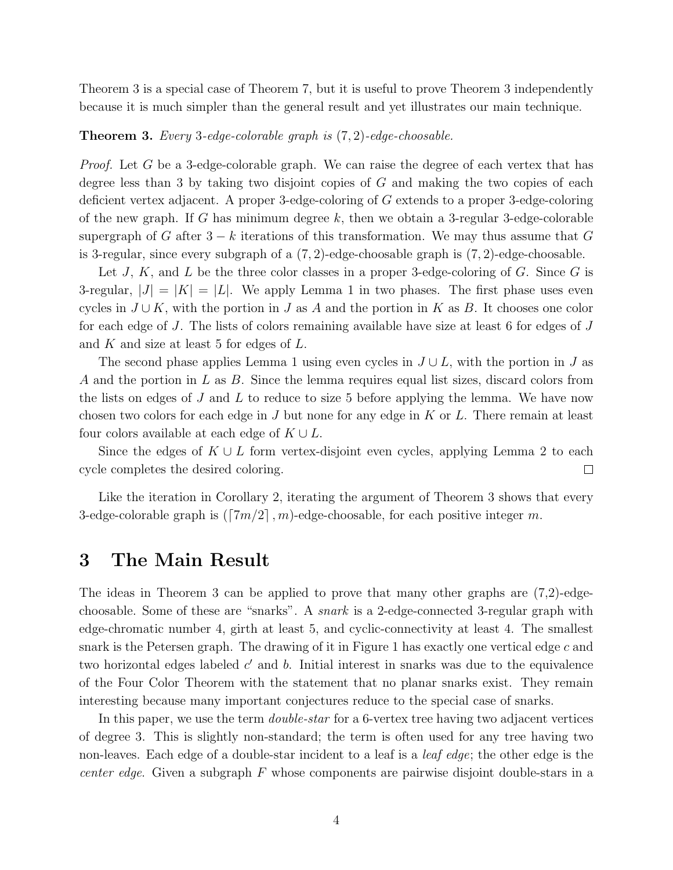Theorem 3 is a special case of Theorem 7, but it is useful to prove Theorem 3 independently because it is much simpler than the general result and yet illustrates our main technique.

Theorem 3. Every 3-edge-colorable graph is (7, 2)-edge-choosable.

*Proof.* Let G be a 3-edge-colorable graph. We can raise the degree of each vertex that has degree less than 3 by taking two disjoint copies of  $G$  and making the two copies of each deficient vertex adjacent. A proper 3-edge-coloring of G extends to a proper 3-edge-coloring of the new graph. If G has minimum degree  $k$ , then we obtain a 3-regular 3-edge-colorable supergraph of G after  $3 - k$  iterations of this transformation. We may thus assume that G is 3-regular, since every subgraph of a  $(7, 2)$ -edge-choosable graph is  $(7, 2)$ -edge-choosable.

Let J, K, and L be the three color classes in a proper 3-edge-coloring of G. Since G is 3-regular,  $|J| = |K| = |L|$ . We apply Lemma 1 in two phases. The first phase uses even cycles in  $J \cup K$ , with the portion in J as A and the portion in K as B. It chooses one color for each edge of J. The lists of colors remaining available have size at least 6 for edges of J and  $K$  and size at least 5 for edges of  $L$ .

The second phase applies Lemma 1 using even cycles in  $J \cup L$ , with the portion in J as A and the portion in L as B. Since the lemma requires equal list sizes, discard colors from the lists on edges of  $J$  and  $L$  to reduce to size 5 before applying the lemma. We have now chosen two colors for each edge in  $J$  but none for any edge in  $K$  or  $L$ . There remain at least four colors available at each edge of  $K \cup L$ .

Since the edges of  $K \cup L$  form vertex-disjoint even cycles, applying Lemma 2 to each cycle completes the desired coloring.  $\Box$ 

Like the iteration in Corollary 2, iterating the argument of Theorem 3 shows that every 3-edge-colorable graph is  $(\lceil 7m/2 \rceil, m)$ -edge-choosable, for each positive integer m.

### 3 The Main Result

The ideas in Theorem 3 can be applied to prove that many other graphs are (7,2)-edgechoosable. Some of these are "snarks". A snark is a 2-edge-connected 3-regular graph with edge-chromatic number 4, girth at least 5, and cyclic-connectivity at least 4. The smallest snark is the Petersen graph. The drawing of it in Figure 1 has exactly one vertical edge  $c$  and two horizontal edges labeled  $c'$  and  $b$ . Initial interest in snarks was due to the equivalence of the Four Color Theorem with the statement that no planar snarks exist. They remain interesting because many important conjectures reduce to the special case of snarks.

In this paper, we use the term *double-star* for a 6-vertex tree having two adjacent vertices of degree 3. This is slightly non-standard; the term is often used for any tree having two non-leaves. Each edge of a double-star incident to a leaf is a *leaf edge*; the other edge is the *center edge.* Given a subgraph  $F$  whose components are pairwise disjoint double-stars in a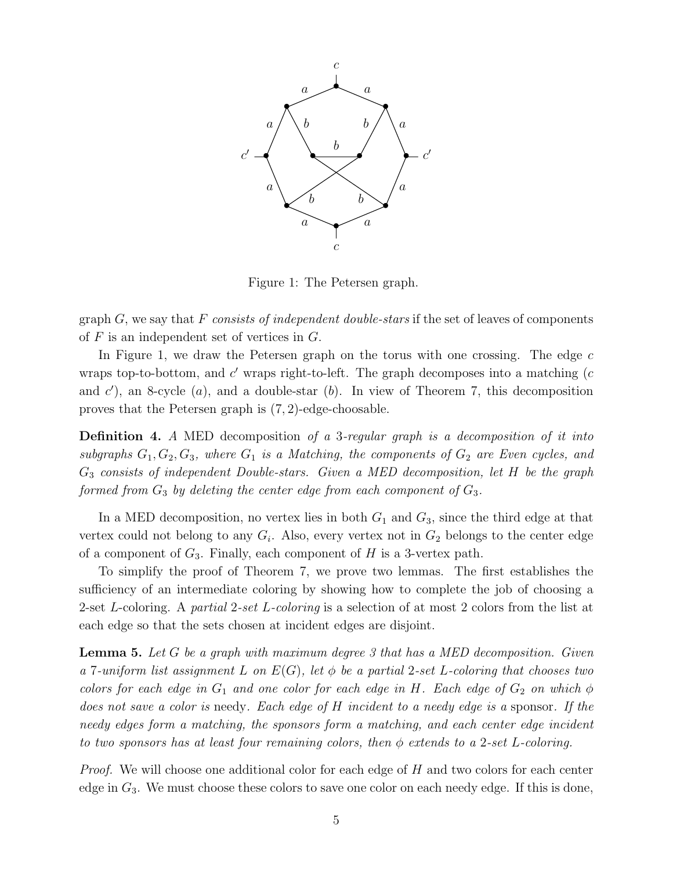

Figure 1: The Petersen graph.

graph  $G$ , we say that F consists of independent double-stars if the set of leaves of components of  $F$  is an independent set of vertices in  $G$ .

In Figure 1, we draw the Petersen graph on the torus with one crossing. The edge  $c$ wraps top-to-bottom, and  $c'$  wraps right-to-left. The graph decomposes into a matching  $(c)$ and  $c'$ ), an 8-cycle (a), and a double-star (b). In view of Theorem 7, this decomposition proves that the Petersen graph is (7, 2)-edge-choosable.

Definition 4. A MED decomposition of a 3-regular graph is a decomposition of it into subgraphs  $G_1, G_2, G_3$ , where  $G_1$  is a Matching, the components of  $G_2$  are Even cycles, and  $G_3$  consists of independent Double-stars. Given a MED decomposition, let H be the graph formed from  $G_3$  by deleting the center edge from each component of  $G_3$ .

In a MED decomposition, no vertex lies in both  $G_1$  and  $G_3$ , since the third edge at that vertex could not belong to any  $G_i$ . Also, every vertex not in  $G_2$  belongs to the center edge of a component of  $G_3$ . Finally, each component of H is a 3-vertex path.

To simplify the proof of Theorem 7, we prove two lemmas. The first establishes the sufficiency of an intermediate coloring by showing how to complete the job of choosing a 2-set L-coloring. A partial 2-set L-coloring is a selection of at most 2 colors from the list at each edge so that the sets chosen at incident edges are disjoint.

**Lemma 5.** Let G be a graph with maximum degree 3 that has a MED decomposition. Given a 7-uniform list assignment L on  $E(G)$ , let  $\phi$  be a partial 2-set L-coloring that chooses two colors for each edge in  $G_1$  and one color for each edge in H. Each edge of  $G_2$  on which  $\phi$ does not save a color is needy. Each edge of H incident to a needy edge is a sponsor. If the needy edges form a matching, the sponsors form a matching, and each center edge incident to two sponsors has at least four remaining colors, then  $\phi$  extends to a 2-set L-coloring.

Proof. We will choose one additional color for each edge of H and two colors for each center edge in  $G_3$ . We must choose these colors to save one color on each needy edge. If this is done,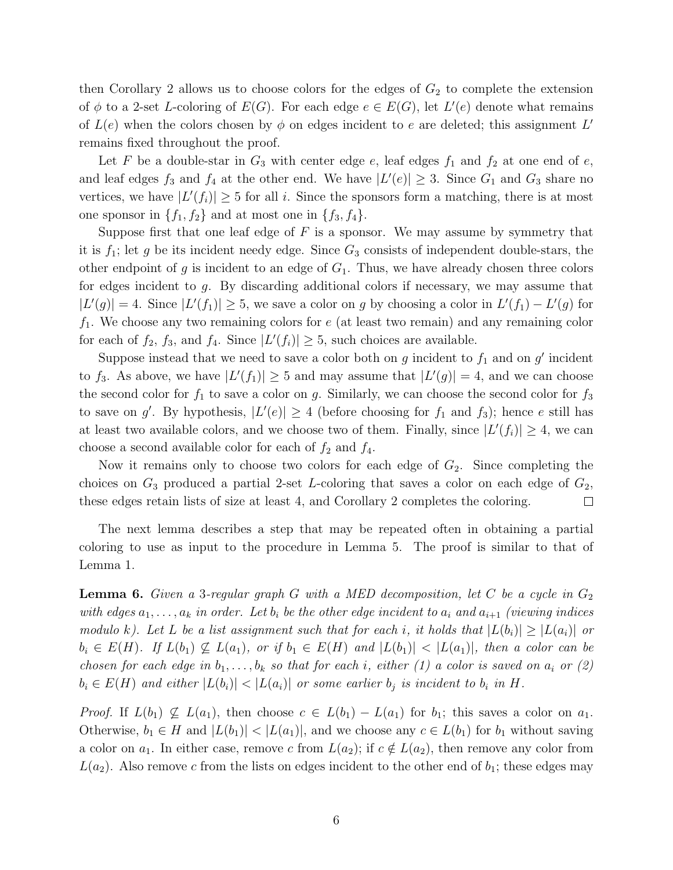then Corollary 2 allows us to choose colors for the edges of  $G_2$  to complete the extension of  $\phi$  to a 2-set L-coloring of  $E(G)$ . For each edge  $e \in E(G)$ , let  $L'(e)$  denote what remains of  $L(e)$  when the colors chosen by  $\phi$  on edges incident to e are deleted; this assignment L' remains fixed throughout the proof.

Let F be a double-star in  $G_3$  with center edge  $e$ , leaf edges  $f_1$  and  $f_2$  at one end of  $e$ , and leaf edges  $f_3$  and  $f_4$  at the other end. We have  $|L'(e)| \geq 3$ . Since  $G_1$  and  $G_3$  share no vertices, we have  $|L'(f_i)| \geq 5$  for all i. Since the sponsors form a matching, there is at most one sponsor in  $\{f_1, f_2\}$  and at most one in  $\{f_3, f_4\}.$ 

Suppose first that one leaf edge of  $F$  is a sponsor. We may assume by symmetry that it is  $f_1$ ; let g be its incident needy edge. Since  $G_3$  consists of independent double-stars, the other endpoint of g is incident to an edge of  $G_1$ . Thus, we have already chosen three colors for edges incident to g. By discarding additional colors if necessary, we may assume that  $|L'(g)| = 4$ . Since  $|L'(f_1)| \ge 5$ , we save a color on g by choosing a color in  $L'(f_1) - L'(g)$  for  $f_1$ . We choose any two remaining colors for e (at least two remain) and any remaining color for each of  $f_2$ ,  $f_3$ , and  $f_4$ . Since  $|L'(f_i)| \geq 5$ , such choices are available.

Suppose instead that we need to save a color both on  $g$  incident to  $f_1$  and on  $g'$  incident to  $f_3$ . As above, we have  $|L'(f_1)| \geq 5$  and may assume that  $|L'(g)| = 4$ , and we can choose the second color for  $f_1$  to save a color on g. Similarly, we can choose the second color for  $f_3$ to save on g'. By hypothesis,  $|L'(e)| \geq 4$  (before choosing for  $f_1$  and  $f_3$ ); hence e still has at least two available colors, and we choose two of them. Finally, since  $|L'(f_i)| \geq 4$ , we can choose a second available color for each of  $f_2$  and  $f_4$ .

Now it remains only to choose two colors for each edge of  $G_2$ . Since completing the choices on  $G_3$  produced a partial 2-set L-coloring that saves a color on each edge of  $G_2$ , these edges retain lists of size at least 4, and Corollary 2 completes the coloring.  $\Box$ 

The next lemma describes a step that may be repeated often in obtaining a partial coloring to use as input to the procedure in Lemma 5. The proof is similar to that of Lemma 1.

**Lemma 6.** Given a 3-regular graph G with a MED decomposition, let C be a cycle in  $G_2$ with edges  $a_1, \ldots, a_k$  in order. Let  $b_i$  be the other edge incident to  $a_i$  and  $a_{i+1}$  (viewing indices modulo k). Let L be a list assignment such that for each i, it holds that  $|L(b_i)| \geq |L(a_i)|$  or  $b_i \in E(H)$ . If  $L(b_1) \nsubseteq L(a_1)$ , or if  $b_1 \in E(H)$  and  $|L(b_1)| < |L(a_1)|$ , then a color can be chosen for each edge in  $b_1, \ldots, b_k$  so that for each i, either (1) a color is saved on  $a_i$  or (2)  $b_i \in E(H)$  and either  $|L(b_i)| < |L(a_i)|$  or some earlier  $b_i$  is incident to  $b_i$  in H.

*Proof.* If  $L(b_1) \nsubseteq L(a_1)$ , then choose  $c \in L(b_1) - L(a_1)$  for  $b_1$ ; this saves a color on  $a_1$ . Otherwise,  $b_1 \in H$  and  $|L(b_1)| < |L(a_1)|$ , and we choose any  $c \in L(b_1)$  for  $b_1$  without saving a color on  $a_1$ . In either case, remove c from  $L(a_2)$ ; if  $c \notin L(a_2)$ , then remove any color from  $L(a_2)$ . Also remove c from the lists on edges incident to the other end of  $b_1$ ; these edges may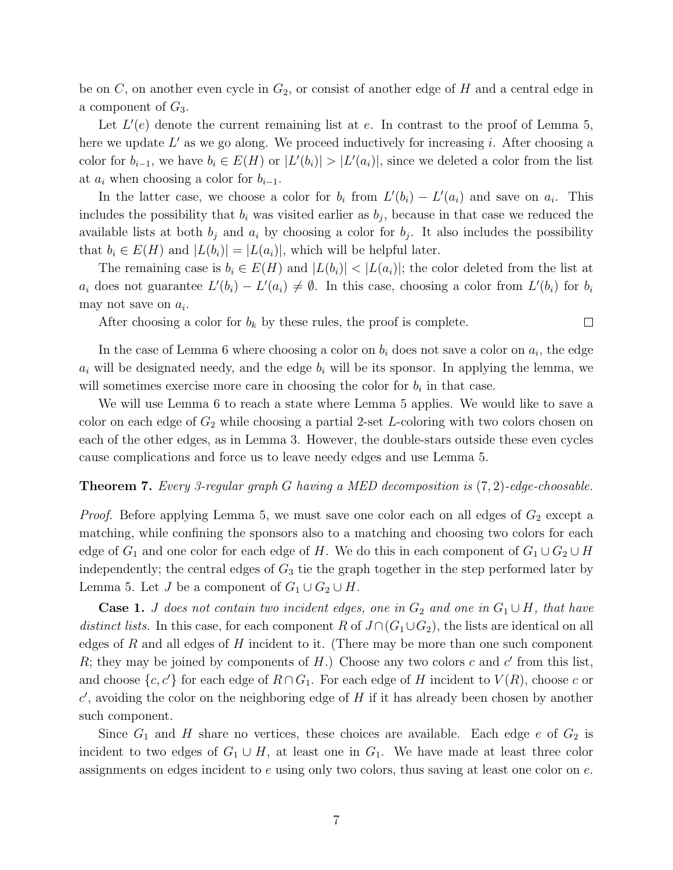be on  $C$ , on another even cycle in  $G_2$ , or consist of another edge of  $H$  and a central edge in a component of  $G_3$ .

Let  $L'(e)$  denote the current remaining list at e. In contrast to the proof of Lemma 5, here we update  $L'$  as we go along. We proceed inductively for increasing i. After choosing a color for  $b_{i-1}$ , we have  $b_i \in E(H)$  or  $|L'(b_i)| > |L'(a_i)|$ , since we deleted a color from the list at  $a_i$  when choosing a color for  $b_{i-1}$ .

In the latter case, we choose a color for  $b_i$  from  $L'(b_i) - L'(a_i)$  and save on  $a_i$ . This includes the possibility that  $b_i$  was visited earlier as  $b_j$ , because in that case we reduced the available lists at both  $b_j$  and  $a_i$  by choosing a color for  $b_j$ . It also includes the possibility that  $b_i \in E(H)$  and  $|L(b_i)| = |L(a_i)|$ , which will be helpful later.

The remaining case is  $b_i \in E(H)$  and  $|L(b_i)| < |L(a_i)|$ ; the color deleted from the list at  $a_i$  does not guarantee  $L'(b_i) - L'(a_i) \neq \emptyset$ . In this case, choosing a color from  $L'(b_i)$  for  $b_i$ may not save on  $a_i$ .

 $\Box$ 

After choosing a color for  $b_k$  by these rules, the proof is complete.

In the case of Lemma 6 where choosing a color on  $b_i$  does not save a color on  $a_i$ , the edge  $a_i$  will be designated needy, and the edge  $b_i$  will be its sponsor. In applying the lemma, we will sometimes exercise more care in choosing the color for  $b_i$  in that case.

We will use Lemma 6 to reach a state where Lemma 5 applies. We would like to save a color on each edge of  $G_2$  while choosing a partial 2-set L-coloring with two colors chosen on each of the other edges, as in Lemma 3. However, the double-stars outside these even cycles cause complications and force us to leave needy edges and use Lemma 5.

#### Theorem 7. Every 3-regular graph G having a MED decomposition is (7, 2)-edge-choosable.

*Proof.* Before applying Lemma 5, we must save one color each on all edges of  $G_2$  except a matching, while confining the sponsors also to a matching and choosing two colors for each edge of  $G_1$  and one color for each edge of H. We do this in each component of  $G_1 \cup G_2 \cup H$ independently; the central edges of  $G_3$  tie the graph together in the step performed later by Lemma 5. Let *J* be a component of  $G_1 \cup G_2 \cup H$ .

**Case 1.** J does not contain two incident edges, one in  $G_2$  and one in  $G_1 \cup H$ , that have distinct lists. In this case, for each component R of  $J \cap (G_1 \cup G_2)$ , the lists are identical on all edges of R and all edges of H incident to it. (There may be more than one such component  $R$ ; they may be joined by components of  $H$ .) Choose any two colors  $c$  and  $c'$  from this list, and choose  $\{c, c'\}$  for each edge of  $R \cap G_1$ . For each edge of H incident to  $V(R)$ , choose c or  $c'$ , avoiding the color on the neighboring edge of  $H$  if it has already been chosen by another such component.

Since  $G_1$  and H share no vertices, these choices are available. Each edge e of  $G_2$  is incident to two edges of  $G_1 \cup H$ , at least one in  $G_1$ . We have made at least three color assignments on edges incident to e using only two colors, thus saving at least one color on e.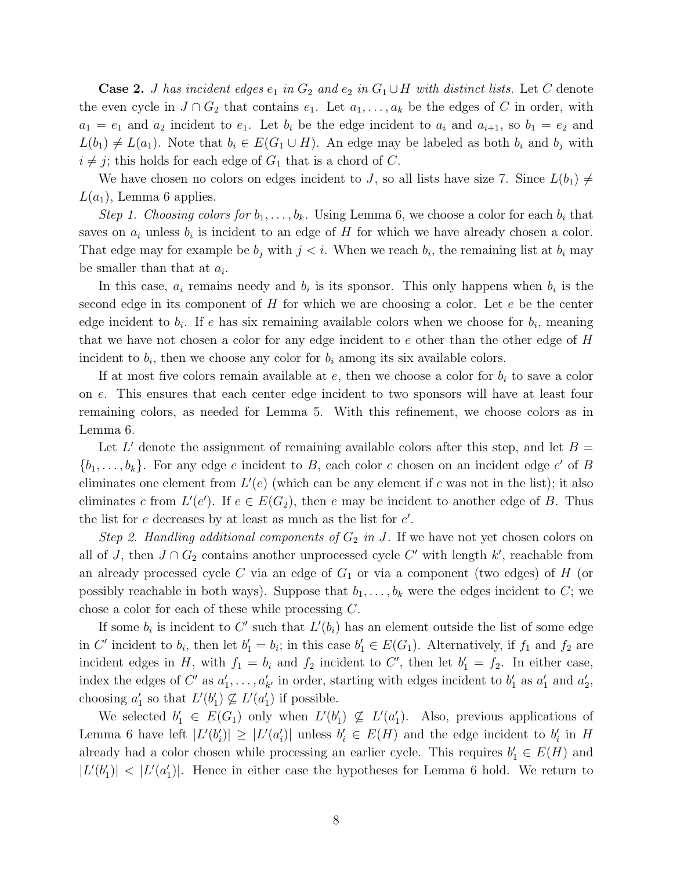**Case 2.** *J* has incident edges  $e_1$  in  $G_2$  and  $e_2$  in  $G_1 \cup H$  with distinct lists. Let C denote the even cycle in  $J \cap G_2$  that contains  $e_1$ . Let  $a_1, \ldots, a_k$  be the edges of C in order, with  $a_1 = e_1$  and  $a_2$  incident to  $e_1$ . Let  $b_i$  be the edge incident to  $a_i$  and  $a_{i+1}$ , so  $b_1 = e_2$  and  $L(b_1) \neq L(a_1)$ . Note that  $b_i \in E(G_1 \cup H)$ . An edge may be labeled as both  $b_i$  and  $b_j$  with  $i \neq j$ ; this holds for each edge of  $G_1$  that is a chord of C.

We have chosen no colors on edges incident to J, so all lists have size 7. Since  $L(b_1) \neq$  $L(a_1)$ , Lemma 6 applies.

Step 1. Choosing colors for  $b_1, \ldots, b_k$ . Using Lemma 6, we choose a color for each  $b_i$  that saves on  $a_i$  unless  $b_i$  is incident to an edge of H for which we have already chosen a color. That edge may for example be  $b_j$  with  $j < i$ . When we reach  $b_i$ , the remaining list at  $b_i$  may be smaller than that at  $a_i$ .

In this case,  $a_i$  remains needy and  $b_i$  is its sponsor. This only happens when  $b_i$  is the second edge in its component of  $H$  for which we are choosing a color. Let  $e$  be the center edge incident to  $b_i$ . If e has six remaining available colors when we choose for  $b_i$ , meaning that we have not chosen a color for any edge incident to e other than the other edge of H incident to  $b_i$ , then we choose any color for  $b_i$  among its six available colors.

If at most five colors remain available at  $e$ , then we choose a color for  $b_i$  to save a color on e. This ensures that each center edge incident to two sponsors will have at least four remaining colors, as needed for Lemma 5. With this refinement, we choose colors as in Lemma 6.

Let L' denote the assignment of remaining available colors after this step, and let  $B =$  $\{b_1, \ldots, b_k\}$ . For any edge e incident to B, each color c chosen on an incident edge e' of B eliminates one element from  $L'(e)$  (which can be any element if c was not in the list); it also eliminates c from  $L'(e')$ . If  $e \in E(G_2)$ , then e may be incident to another edge of B. Thus the list for  $e$  decreases by at least as much as the list for  $e'$ .

Step 2. Handling additional components of  $G_2$  in J. If we have not yet chosen colors on all of J, then  $J \cap G_2$  contains another unprocessed cycle C' with length k', reachable from an already processed cycle C via an edge of  $G_1$  or via a component (two edges) of H (or possibly reachable in both ways). Suppose that  $b_1, \ldots, b_k$  were the edges incident to C; we chose a color for each of these while processing C.

If some  $b_i$  is incident to C' such that  $L'(b_i)$  has an element outside the list of some edge in C' incident to  $b_i$ , then let  $b'_1 = b_i$ ; in this case  $b'_1 \in E(G_1)$ . Alternatively, if  $f_1$  and  $f_2$  are incident edges in H, with  $f_1 = b_i$  and  $f_2$  incident to C', then let  $b'_1 = f_2$ . In either case, index the edges of  $C'$  as  $a'_1$  $a'_1, \ldots, a'_{k'}$  in order, starting with edges incident to  $b'_1$  $'_{1}$  as  $a'_{1}$  $'_{1}$  and  $a'_{2}$  $_2^{\prime},$ choosing  $a'_1$ '<sub>1</sub> so that  $L'(b_1')$  $'_{1}) \nsubseteq L'(a'_{1})$  $'_{1}$ ) if possible.

We selected  $b'_1 \in E(G_1)$  only when  $L'(b'_1)$  $'_{1}) \nsubseteq L'(a'_{1})$ 1 ). Also, previous applications of Lemma 6 have left  $|L'(b)|$  $\vert f_i \rangle \vert \geq \vert L' (a_i') \vert$  $|b_i'|$  unless  $b_i' \in E(H)$  and the edge incident to  $b_i'$  $_i'$  in  $H$ already had a color chosen while processing an earlier cycle. This requires  $b'_1 \in E(H)$  and  $|L'(b_1)|$  $|L'(a_1')| < |L'(a_2')|$  $\binom{1}{1}$ . Hence in either case the hypotheses for Lemma 6 hold. We return to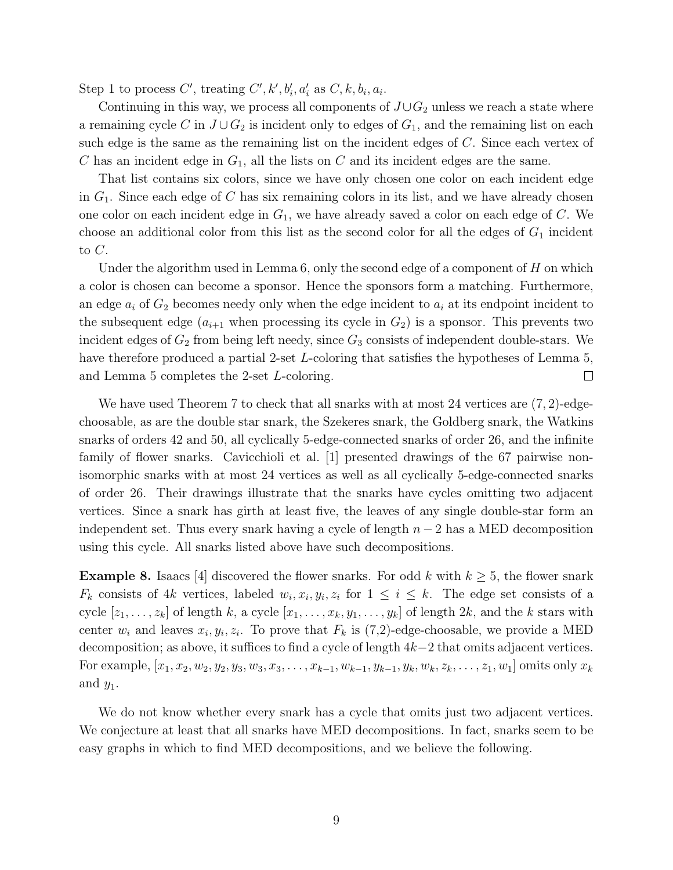Step 1 to process C', treating C', k',  $b'_i$ ,  $a'_i$  as  $C$ , k,  $b_i$ ,  $a_i$ .

Continuing in this way, we process all components of  $J\cup G_2$  unless we reach a state where a remaining cycle C in  $J \cup G_2$  is incident only to edges of  $G_1$ , and the remaining list on each such edge is the same as the remaining list on the incident edges of C. Since each vertex of C has an incident edge in  $G_1$ , all the lists on C and its incident edges are the same.

That list contains six colors, since we have only chosen one color on each incident edge in  $G_1$ . Since each edge of C has six remaining colors in its list, and we have already chosen one color on each incident edge in  $G_1$ , we have already saved a color on each edge of C. We choose an additional color from this list as the second color for all the edges of  $G_1$  incident to C.

Under the algorithm used in Lemma  $6$ , only the second edge of a component of  $H$  on which a color is chosen can become a sponsor. Hence the sponsors form a matching. Furthermore, an edge  $a_i$  of  $G_2$  becomes needy only when the edge incident to  $a_i$  at its endpoint incident to the subsequent edge  $(a_{i+1}$  when processing its cycle in  $G_2$ ) is a sponsor. This prevents two incident edges of  $G_2$  from being left needy, since  $G_3$  consists of independent double-stars. We have therefore produced a partial 2-set L-coloring that satisfies the hypotheses of Lemma 5, and Lemma 5 completes the 2-set L-coloring.  $\Box$ 

We have used Theorem 7 to check that all snarks with at most 24 vertices are  $(7, 2)$ -edgechoosable, as are the double star snark, the Szekeres snark, the Goldberg snark, the Watkins snarks of orders 42 and 50, all cyclically 5-edge-connected snarks of order 26, and the infinite family of flower snarks. Cavicchioli et al. [1] presented drawings of the 67 pairwise nonisomorphic snarks with at most 24 vertices as well as all cyclically 5-edge-connected snarks of order 26. Their drawings illustrate that the snarks have cycles omitting two adjacent vertices. Since a snark has girth at least five, the leaves of any single double-star form an independent set. Thus every snark having a cycle of length  $n-2$  has a MED decomposition using this cycle. All snarks listed above have such decompositions.

**Example 8.** Isaacs [4] discovered the flower snarks. For odd k with  $k \geq 5$ , the flower snark  $F_k$  consists of 4k vertices, labeled  $w_i, x_i, y_i, z_i$  for  $1 \leq i \leq k$ . The edge set consists of a cycle  $[z_1, \ldots, z_k]$  of length k, a cycle  $[x_1, \ldots, x_k, y_1, \ldots, y_k]$  of length  $2k$ , and the k stars with center  $w_i$  and leaves  $x_i, y_i, z_i$ . To prove that  $F_k$  is  $(7,2)$ -edge-choosable, we provide a MED decomposition; as above, it suffices to find a cycle of length 4k−2 that omits adjacent vertices. For example,  $[x_1, x_2, w_2, y_2, y_3, w_3, x_3, \ldots, x_{k-1}, w_{k-1}, y_k, w_k, z_k, \ldots, z_1, w_1]$  omits only  $x_k$ and  $y_1$ .

We do not know whether every snark has a cycle that omits just two adjacent vertices. We conjecture at least that all snarks have MED decompositions. In fact, snarks seem to be easy graphs in which to find MED decompositions, and we believe the following.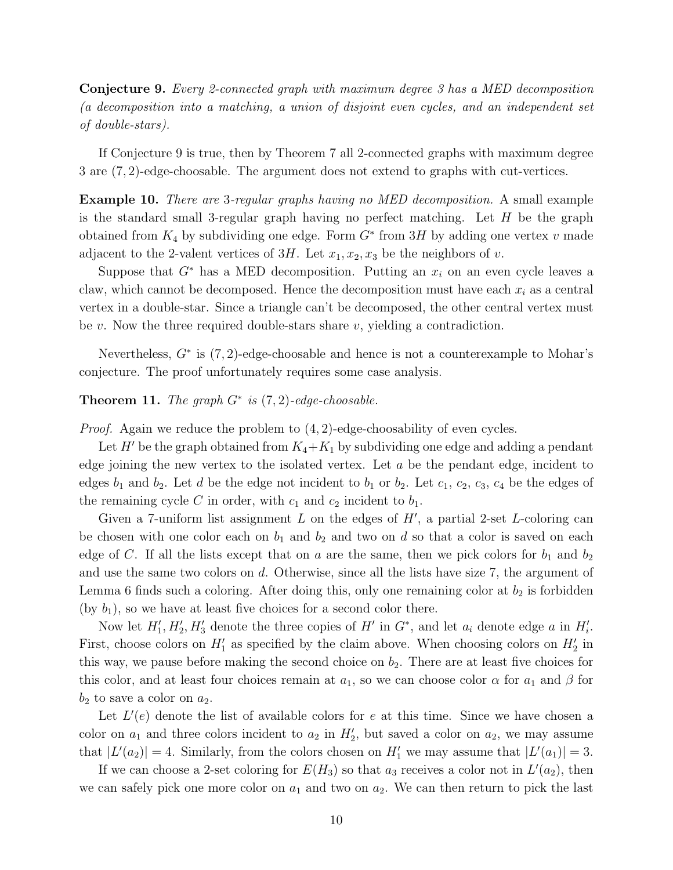Conjecture 9. Every 2-connected graph with maximum degree 3 has a MED decomposition (a decomposition into a matching, a union of disjoint even cycles, and an independent set of double-stars).

If Conjecture 9 is true, then by Theorem 7 all 2-connected graphs with maximum degree 3 are (7, 2)-edge-choosable. The argument does not extend to graphs with cut-vertices.

Example 10. There are 3-regular graphs having no MED decomposition. A small example is the standard small 3-regular graph having no perfect matching. Let  $H$  be the graph obtained from  $K_4$  by subdividing one edge. Form  $G^*$  from  $3H$  by adding one vertex v made adjacent to the 2-valent vertices of  $3H$ . Let  $x_1, x_2, x_3$  be the neighbors of v.

Suppose that  $G^*$  has a MED decomposition. Putting an  $x_i$  on an even cycle leaves a claw, which cannot be decomposed. Hence the decomposition must have each  $x_i$  as a central vertex in a double-star. Since a triangle can't be decomposed, the other central vertex must be  $v$ . Now the three required double-stars share  $v$ , yielding a contradiction.

Nevertheless,  $G^*$  is  $(7, 2)$ -edge-choosable and hence is not a counterexample to Mohar's conjecture. The proof unfortunately requires some case analysis.

#### Theorem 11. The graph  $G^*$  is  $(7,2)$ -edge-choosable.

*Proof.* Again we reduce the problem to  $(4, 2)$ -edge-choosability of even cycles.

Let H' be the graph obtained from  $K_4+K_1$  by subdividing one edge and adding a pendant edge joining the new vertex to the isolated vertex. Let a be the pendant edge, incident to edges  $b_1$  and  $b_2$ . Let d be the edge not incident to  $b_1$  or  $b_2$ . Let  $c_1, c_2, c_3, c_4$  be the edges of the remaining cycle C in order, with  $c_1$  and  $c_2$  incident to  $b_1$ .

Given a 7-uniform list assignment  $L$  on the edges of  $H'$ , a partial 2-set  $L$ -coloring can be chosen with one color each on  $b_1$  and  $b_2$  and two on d so that a color is saved on each edge of C. If all the lists except that on a are the same, then we pick colors for  $b_1$  and  $b_2$ and use the same two colors on d. Otherwise, since all the lists have size 7, the argument of Lemma 6 finds such a coloring. After doing this, only one remaining color at  $b_2$  is forbidden (by  $b_1$ ), so we have at least five choices for a second color there.

Now let  $H'_1, H'_2, H'_3$  denote the three copies of  $H'$  in  $G^*$ , and let  $a_i$  denote edge  $a$  in  $H'_i$ . First, choose colors on  $H'_1$  as specified by the claim above. When choosing colors on  $H'_2$  in this way, we pause before making the second choice on  $b_2$ . There are at least five choices for this color, and at least four choices remain at  $a_1$ , so we can choose color  $\alpha$  for  $a_1$  and  $\beta$  for  $b_2$  to save a color on  $a_2$ .

Let  $L'(e)$  denote the list of available colors for e at this time. Since we have chosen a color on  $a_1$  and three colors incident to  $a_2$  in  $H'_2$ , but saved a color on  $a_2$ , we may assume that  $|L'(a_2)| = 4$ . Similarly, from the colors chosen on  $H'_1$  we may assume that  $|L'(a_1)| = 3$ .

If we can choose a 2-set coloring for  $E(H_3)$  so that  $a_3$  receives a color not in  $L'(a_2)$ , then we can safely pick one more color on  $a_1$  and two on  $a_2$ . We can then return to pick the last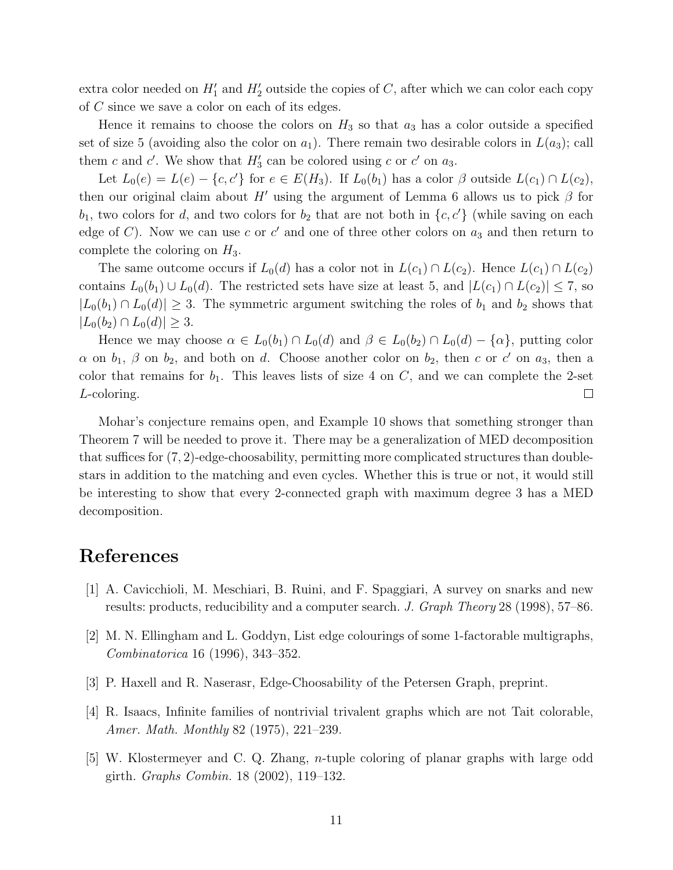extra color needed on  $H'_1$  and  $H'_2$  outside the copies of C, after which we can color each copy of C since we save a color on each of its edges.

Hence it remains to choose the colors on  $H_3$  so that  $a_3$  has a color outside a specified set of size 5 (avoiding also the color on  $a_1$ ). There remain two desirable colors in  $L(a_3)$ ; call them c and c'. We show that  $H'_3$  can be colored using c or c' on  $a_3$ .

Let  $L_0(e) = L(e) - \{c, c'\}$  for  $e \in E(H_3)$ . If  $L_0(b_1)$  has a color  $\beta$  outside  $L(c_1) \cap L(c_2)$ , then our original claim about H' using the argument of Lemma 6 allows us to pick  $\beta$  for  $b_1$ , two colors for d, and two colors for  $b_2$  that are not both in  $\{c, c'\}$  (while saving on each edge of C). Now we can use c or c' and one of three other colors on  $a_3$  and then return to complete the coloring on  $H_3$ .

The same outcome occurs if  $L_0(d)$  has a color not in  $L(c_1) \cap L(c_2)$ . Hence  $L(c_1) \cap L(c_2)$ contains  $L_0(b_1) \cup L_0(d)$ . The restricted sets have size at least 5, and  $|L(c_1) \cap L(c_2)| \leq 7$ , so  $|L_0(b_1) \cap L_0(d)| \geq 3$ . The symmetric argument switching the roles of  $b_1$  and  $b_2$  shows that  $|L_0(b_2) \cap L_0(d)| \geq 3.$ 

Hence we may choose  $\alpha \in L_0(b_1) \cap L_0(d)$  and  $\beta \in L_0(b_2) \cap L_0(d) - {\alpha}$ , putting color  $\alpha$  on  $b_1$ ,  $\beta$  on  $b_2$ , and both on d. Choose another color on  $b_2$ , then c or c' on  $a_3$ , then a color that remains for  $b_1$ . This leaves lists of size 4 on C, and we can complete the 2-set L-coloring.  $\Box$ 

Mohar's conjecture remains open, and Example 10 shows that something stronger than Theorem 7 will be needed to prove it. There may be a generalization of MED decomposition that suffices for (7, 2)-edge-choosability, permitting more complicated structures than doublestars in addition to the matching and even cycles. Whether this is true or not, it would still be interesting to show that every 2-connected graph with maximum degree 3 has a MED decomposition.

## References

- [1] A. Cavicchioli, M. Meschiari, B. Ruini, and F. Spaggiari, A survey on snarks and new results: products, reducibility and a computer search. J. Graph Theory 28 (1998), 57–86.
- [2] M. N. Ellingham and L. Goddyn, List edge colourings of some 1-factorable multigraphs, Combinatorica 16 (1996), 343–352.
- [3] P. Haxell and R. Naserasr, Edge-Choosability of the Petersen Graph, preprint.
- [4] R. Isaacs, Infinite families of nontrivial trivalent graphs which are not Tait colorable, Amer. Math. Monthly 82 (1975), 221–239.
- [5] W. Klostermeyer and C. Q. Zhang, n-tuple coloring of planar graphs with large odd girth. Graphs Combin. 18 (2002), 119–132.